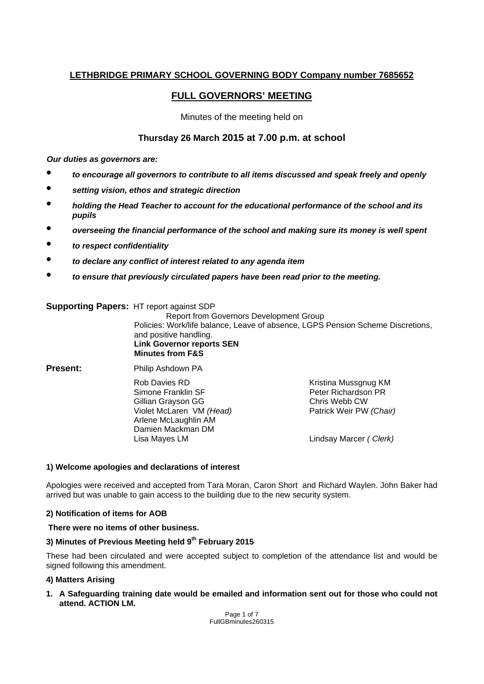# **LETHBRIDGE PRIMARY SCHOOL GOVERNING BODY Company number 7685652**

# **FULL GOVERNORS' MEETING**

Minutes of the meeting held on

# **Thursday 26 March 2015 at 7.00 p.m. at school**

*Our duties as governors are:* 

- *to encourage all governors to contribute to all items discussed and speak freely and openly*
- *setting vision, ethos and strategic direction*
- *holding the Head Teacher to account for the educational performance of the school and its pupils*
- *overseeing the financial performance of the school and making sure its money is well spent*
- *to respect confidentiality*
- *to declare any conflict of interest related to any agenda item*
- *to ensure that previously circulated papers have been read prior to the meeting.*

# **Supporting Papers:** HT report against SDP

Report from Governors Development Group

 Policies: Work/life balance, Leave of absence, LGPS Pension Scheme Discretions, and positive handling. **Link Governor reports SEN Minutes from F&S**

**Present:** Philip Ashdown PA

Rob Davies RD **Kristina Mussgnug KM** Simone Franklin SF Peter Richardson PR Gillian Grayson GG Chris Webb CW Violet McLaren VM *(Head)* Patrick Weir PW *(Chair)* Arlene McLaughlin AM Damien Mackman DM Lisa Mayes LM Lindsay Marcer *( Clerk)*

# **1) Welcome apologies and declarations of interest**

Apologies were received and accepted from Tara Moran, Caron Short and Richard Waylen. John Baker had arrived but was unable to gain access to the building due to the new security system.

# **2) Notification of items for AOB**

# **There were no items of other business.**

# **3) Minutes of Previous Meeting held 9th February 2015**

These had been circulated and were accepted subject to completion of the attendance list and would be signed following this amendment.

# **4) Matters Arising**

**1. A Safeguarding training date would be emailed and information sent out for those who could not attend. ACTION LM.** 

> Page 1 of 7 FullGBminutes260315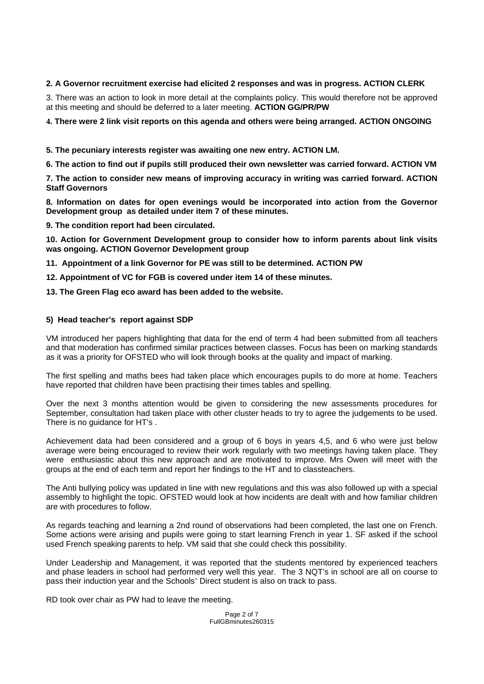# **2. A Governor recruitment exercise had elicited 2 responses and was in progress. ACTION CLERK**

3. There was an action to look in more detail at the complaints policy. This would therefore not be approved at this meeting and should be deferred to a later meeting. **ACTION GG/PR/PW** 

**4. There were 2 link visit reports on this agenda and others were being arranged. ACTION ONGOING** 

**5. The pecuniary interests register was awaiting one new entry. ACTION LM.** 

**6. The action to find out if pupils still produced their own newsletter was carried forward. ACTION VM** 

**7. The action to consider new means of improving accuracy in writing was carried forward. ACTION Staff Governors** 

**8. Information on dates for open evenings would be incorporated into action from the Governor Development group as detailed under item 7 of these minutes.** 

**9. The condition report had been circulated.** 

**10. Action for Government Development group to consider how to inform parents about link visits was ongoing. ACTION Governor Development group** 

**11. Appointment of a link Governor for PE was still to be determined. ACTION PW** 

**12. Appointment of VC for FGB is covered under item 14 of these minutes.** 

**13. The Green Flag eco award has been added to the website.** 

### **5) Head teacher's report against SDP**

VM introduced her papers highlighting that data for the end of term 4 had been submitted from all teachers and that moderation has confirmed similar practices between classes. Focus has been on marking standards as it was a priority for OFSTED who will look through books at the quality and impact of marking.

The first spelling and maths bees had taken place which encourages pupils to do more at home. Teachers have reported that children have been practising their times tables and spelling.

Over the next 3 months attention would be given to considering the new assessments procedures for September, consultation had taken place with other cluster heads to try to agree the judgements to be used. There is no guidance for HT's .

Achievement data had been considered and a group of 6 boys in years 4,5, and 6 who were just below average were being encouraged to review their work regularly with two meetings having taken place. They were enthusiastic about this new approach and are motivated to improve. Mrs Owen will meet with the groups at the end of each term and report her findings to the HT and to classteachers.

The Anti bullying policy was updated in line with new regulations and this was also followed up with a special assembly to highlight the topic. OFSTED would look at how incidents are dealt with and how familiar children are with procedures to follow.

As regards teaching and learning a 2nd round of observations had been completed, the last one on French. Some actions were arising and pupils were going to start learning French in year 1. SF asked if the school used French speaking parents to help. VM said that she could check this possibility.

Under Leadership and Management, it was reported that the students mentored by experienced teachers and phase leaders in school had performed very well this year. The 3 NQT's in school are all on course to pass their induction year and the Schools' Direct student is also on track to pass.

RD took over chair as PW had to leave the meeting.

Page 2 of 7 FullGBminutes260315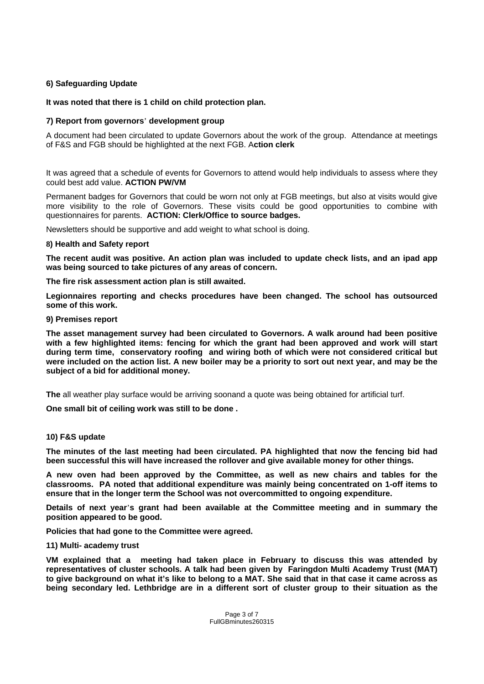# **6) Safeguarding Update**

### **It was noted that there is 1 child on child protection plan.**

### **7) Report from governors**' **development group**

A document had been circulated to update Governors about the work of the group. Attendance at meetings of F&S and FGB should be highlighted at the next FGB. A**ction clerk** 

It was agreed that a schedule of events for Governors to attend would help individuals to assess where they could best add value. **ACTION PW/VM**

Permanent badges for Governors that could be worn not only at FGB meetings, but also at visits would give more visibility to the role of Governors. These visits could be good opportunities to combine with questionnaires for parents. **ACTION: Clerk/Office to source badges.**

Newsletters should be supportive and add weight to what school is doing.

### **8) Health and Safety report**

**The recent audit was positive. An action plan was included to update check lists, and an ipad app was being sourced to take pictures of any areas of concern.** 

**The fire risk assessment action plan is still awaited.** 

**Legionnaires reporting and checks procedures have been changed. The school has outsourced some of this work.** 

### **9) Premises report**

**The asset management survey had been circulated to Governors. A walk around had been positive with a few highlighted items: fencing for which the grant had been approved and work will start during term time, conservatory roofing and wiring both of which were not considered critical but were included on the action list. A new boiler may be a priority to sort out next year, and may be the subject of a bid for additional money.** 

**The** all weather play surface would be arriving soonand a quote was being obtained for artificial turf.

**One small bit of ceiling work was still to be done .** 

### **10) F&S update**

**The minutes of the last meeting had been circulated. PA highlighted that now the fencing bid had been successful this will have increased the rollover and give available money for other things.** 

**A new oven had been approved by the Committee, as well as new chairs and tables for the classrooms. PA noted that additional expenditure was mainly being concentrated on 1-off items to ensure that in the longer term the School was not overcommitted to ongoing expenditure.** 

**Details of next year**'**s grant had been available at the Committee meeting and in summary the position appeared to be good.** 

**Policies that had gone to the Committee were agreed.** 

### **11) Multi- academy trust**

**VM explained that a meeting had taken place in February to discuss this was attended by representatives of cluster schools. A talk had been given by Faringdon Multi Academy Trust (MAT) to give background on what it's like to belong to a MAT. She said that in that case it came across as being secondary led. Lethbridge are in a different sort of cluster group to their situation as the**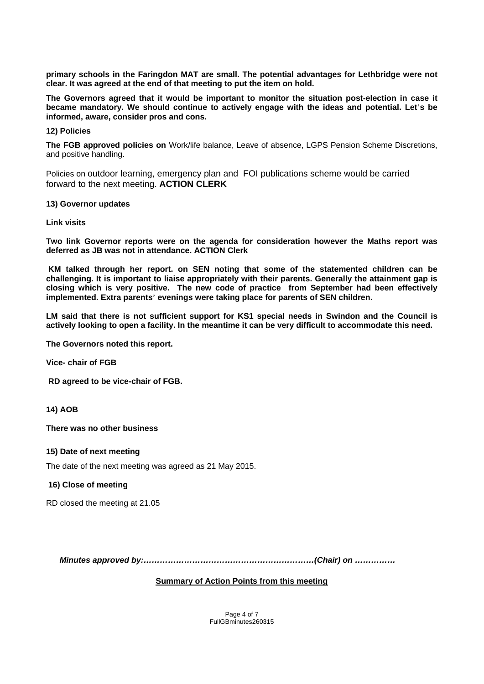**primary schools in the Faringdon MAT are small. The potential advantages for Lethbridge were not clear. It was agreed at the end of that meeting to put the item on hold.** 

**The Governors agreed that it would be important to monitor the situation post-election in case it became mandatory. We should continue to actively engage with the ideas and potential. Let**'**s be informed, aware, consider pros and cons.** 

**12) Policies** 

**The FGB approved policies on** Work/life balance, Leave of absence, LGPS Pension Scheme Discretions, and positive handling.

Policies on outdoor learning, emergency plan and FOI publications scheme would be carried forward to the next meeting. **ACTION CLERK** 

### **13) Governor updates**

**Link visits** 

**Two link Governor reports were on the agenda for consideration however the Maths report was deferred as JB was not in attendance. ACTION Clerk** 

 **KM talked through her report. on SEN noting that some of the statemented children can be challenging. It is important to liaise appropriately with their parents. Generally the attainment gap is closing which is very positive. The new code of practice from September had been effectively implemented. Extra parents**' **evenings were taking place for parents of SEN children.** 

**LM said that there is not sufficient support for KS1 special needs in Swindon and the Council is actively looking to open a facility. In the meantime it can be very difficult to accommodate this need.** 

**The Governors noted this report.** 

**Vice- chair of FGB** 

 **RD agreed to be vice-chair of FGB.** 

**14) AOB** 

**There was no other business** 

### **15) Date of next meeting**

The date of the next meeting was agreed as 21 May 2015.

**16) Close of meeting**

RD closed the meeting at 21.05

 *Minutes approved by:………………………………………………………(Chair) on ……………* 

# **Summary of Action Points from this meeting**

Page 4 of 7 FullGBminutes260315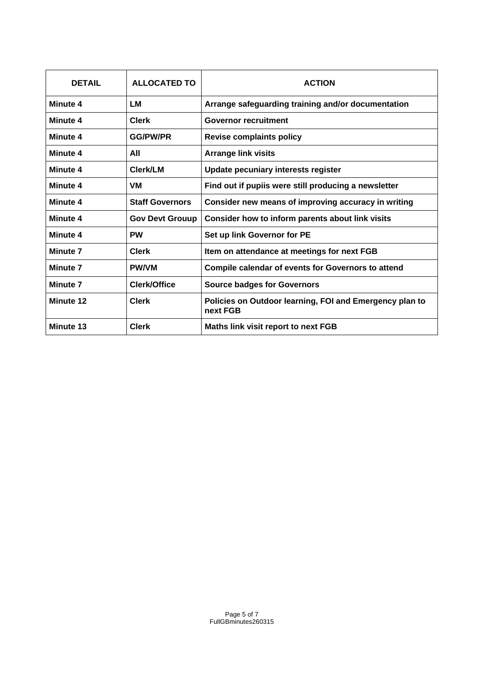| <b>DETAIL</b>       | <b>ALLOCATED TO</b>    | <b>ACTION</b>                                                       |
|---------------------|------------------------|---------------------------------------------------------------------|
| Minute 4            | LM                     | Arrange safeguarding training and/or documentation                  |
| Minute 4            | <b>Clerk</b>           | <b>Governor recruitment</b>                                         |
| Minute 4            | <b>GG/PW/PR</b>        | <b>Revise complaints policy</b>                                     |
| Minute 4            | All                    | <b>Arrange link visits</b>                                          |
| <b>Minute 4</b>     | Clerk/LM               | Update pecuniary interests register                                 |
| Minute 4            | VM                     | Find out if pupiis were still producing a newsletter                |
| Minute 4            | <b>Staff Governors</b> | Consider new means of improving accuracy in writing                 |
| Minute 4            | <b>Gov Devt Grouup</b> | Consider how to inform parents about link visits                    |
| Minute 4            | <b>PW</b>              | Set up link Governor for PE                                         |
| Minute <sub>7</sub> | <b>Clerk</b>           | Item on attendance at meetings for next FGB                         |
| Minute <sub>7</sub> | <b>PW/VM</b>           | <b>Compile calendar of events for Governors to attend</b>           |
| <b>Minute 7</b>     | <b>Clerk/Office</b>    | <b>Source badges for Governors</b>                                  |
| Minute 12           | <b>Clerk</b>           | Policies on Outdoor learning, FOI and Emergency plan to<br>next FGB |
| Minute 13           | <b>Clerk</b>           | Maths link visit report to next FGB                                 |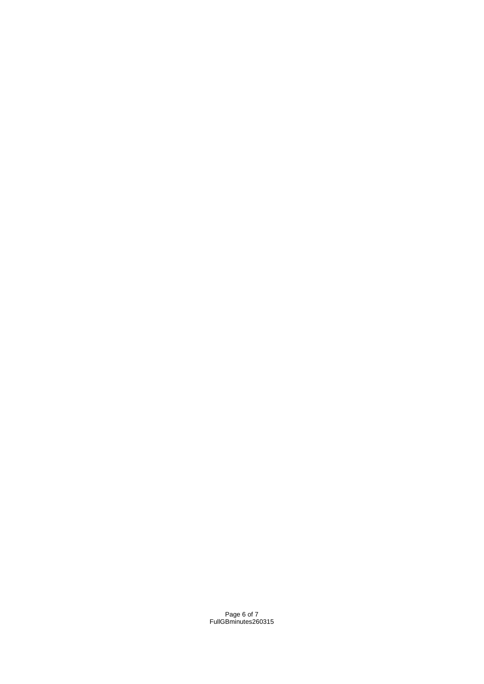Page 6 of 7 FullGBminutes260315